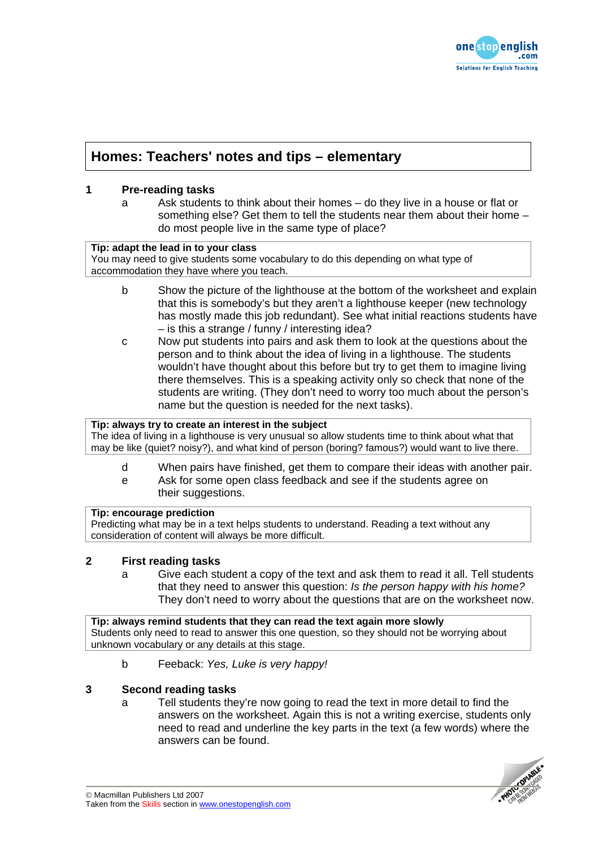

# **Homes: Teachers' notes and tips – elementary**

### **1 Pre-reading tasks**

a Ask students to think about their homes – do they live in a house or flat or something else? Get them to tell the students near them about their home – do most people live in the same type of place?

### **Tip: adapt the lead in to your class**

You may need to give students some vocabulary to do this depending on what type of accommodation they have where you teach.

- b Show the picture of the lighthouse at the bottom of the worksheet and explain that this is somebody's but they aren't a lighthouse keeper (new technology has mostly made this job redundant). See what initial reactions students have – is this a strange / funny / interesting idea?
- c Now put students into pairs and ask them to look at the questions about the person and to think about the idea of living in a lighthouse. The students wouldn't have thought about this before but try to get them to imagine living there themselves. This is a speaking activity only so check that none of the students are writing. (They don't need to worry too much about the person's name but the question is needed for the next tasks).

## **Tip: always try to create an interest in the subject**

The idea of living in a lighthouse is very unusual so allow students time to think about what that may be like (quiet? noisy?), and what kind of person (boring? famous?) would want to live there.

- d When pairs have finished, get them to compare their ideas with another pair.
- e Ask for some open class feedback and see if the students agree on their suggestions.

### **Tip: encourage prediction**

Predicting what may be in a text helps students to understand. Reading a text without any consideration of content will always be more difficult.

### **2 First reading tasks**

a Give each student a copy of the text and ask them to read it all. Tell students that they need to answer this question: *Is the person happy with his home?* They don't need to worry about the questions that are on the worksheet now.

**Tip: always remind students that they can read the text again more slowly**  Students only need to read to answer this one question, so they should not be worrying about unknown vocabulary or any details at this stage.

b Feeback: *Yes, Luke is very happy!*

### **3 Second reading tasks**

a Tell students they're now going to read the text in more detail to find the answers on the worksheet. Again this is not a writing exercise, students only need to read and underline the key parts in the text (a few words) where the answers can be found.